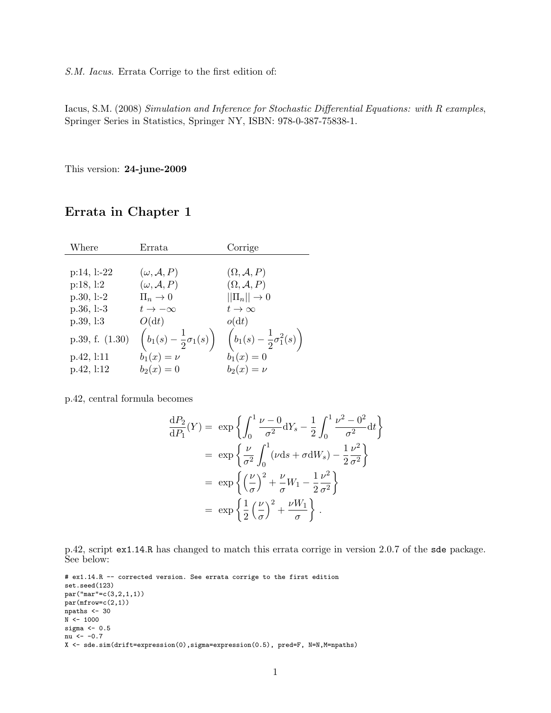#### S.M. Iacus. Errata Corrige to the first edition of:

Iacus, S.M. (2008) Simulation and Inference for Stochastic Differential Equations: with R examples, Springer Series in Statistics, Springer NY, ISBN: 978-0-387-75838-1.

This version: 24-june-2009

### Errata in Chapter 1

| Where           | Errata                                       | Corrige                                          |
|-----------------|----------------------------------------------|--------------------------------------------------|
|                 |                                              |                                                  |
| $p:14, 1:-22$   | $(\omega, \mathcal{A}, P)$                   | $(\Omega, \mathcal{A}, P)$                       |
| p:18, 1:2       | $(\omega, \mathcal{A}, P)$                   | $(\Omega, \mathcal{A}, P)$                       |
| $p.30, l=2$     | $\Pi_n \to 0$                                | $  \Pi_n   \to 0$                                |
| $p.36, l=3$     | $t\to -\infty$                               | $t\rightarrow\infty$                             |
| p.39, 1:3       | O(dt)                                        | o(dt)                                            |
| p.39, f. (1.30) | $\left(b_1(s)-\frac{1}{2}\sigma_1(s)\right)$ | $\left(b_1(s) - \frac{1}{2}\sigma_1^2(s)\right)$ |
| p.42, 1:11      | $b_1(x) = \nu$                               | $b_1(x) = 0$                                     |
| p.42, 1:12      | $b_2(x) = 0$                                 | $b_2(x)=\nu$                                     |

p.42, central formula becomes

$$
\frac{dP_2}{dP_1}(Y) = \exp\left\{\int_0^1 \frac{\nu - 0}{\sigma^2} dY_s - \frac{1}{2} \int_0^1 \frac{\nu^2 - 0^2}{\sigma^2} dt\right\}
$$

$$
= \exp\left\{\frac{\nu}{\sigma^2} \int_0^1 (\nu ds + \sigma dW_s) - \frac{1}{2} \frac{\nu^2}{\sigma^2}\right\}
$$

$$
= \exp\left\{\left(\frac{\nu}{\sigma}\right)^2 + \frac{\nu}{\sigma} W_1 - \frac{1}{2} \frac{\nu^2}{\sigma^2}\right\}
$$

$$
= \exp\left\{\frac{1}{2} \left(\frac{\nu}{\sigma}\right)^2 + \frac{\nu W_1}{\sigma}\right\}.
$$

p.42, script ex1.14.R has changed to match this errata corrige in version 2.0.7 of the sde package. See below:

# ex1.14.R -- corrected version. See errata corrige to the first edition set.seed(123) par("mar"=c(3,2,1,1)) par(mfrow=c(2,1)) npaths  $<-30$  $N < - 1000$ sigma <- 0.5 nu <- -0.7 X <- sde.sim(drift=expression(0),sigma=expression(0.5), pred=F, N=N,M=npaths)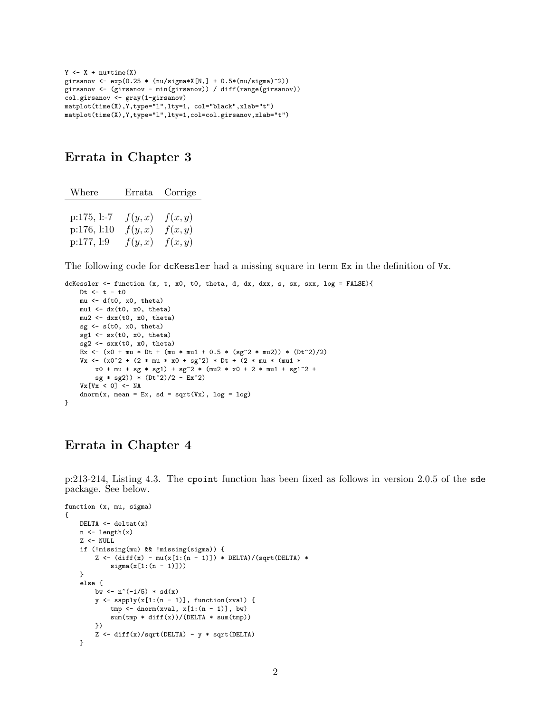```
Y \leftarrow X + \text{nu*time}(X)girsanov \leftarrow exp(0.25 * (nu/sigma * X[N,] + 0.5 * (nu/sigma)^2))girsanov <- (girsanov - min(girsanov)) / diff(range(girsanov))
col.girsanov <- gray(1-girsanov)
matplot(time(X),Y,type="l",lty=1, col="black",xlab="t")
matplot(time(X),Y,type="l",lty=1,col=col.girsanov,xlab="t")
```
### Errata in Chapter 3

| Where         |        | Errata Corrige |
|---------------|--------|----------------|
|               |        |                |
| $p:175, l:-7$ | f(y,x) | f(x,y)         |
| p:176, l:10   | f(y,x) | f(x,y)         |
| p:177, l:9    | f(y,x) | f(x,y)         |

The following code for dcKessler had a missing square in term Ex in the definition of Vx.

```
dcKessler <- function (x, t, x0, t0, theta, d, dx, dxx, s, sx, sxx, log = FALSE){
    Dt <- t - t0
    mu <- d(t0, x0, theta)
    mu1 \leftarrow dx(t0, x0, theta)mu2 <- dxx(t0, x0, theta)
    sg <- s(t0, x0, theta)
    sg1 \leftarrow sx(t0, x0, ttheta)sg2 \leftarrow sxx(t0, x0, theta)Ex <- (x0 + mu * Dt + (mu * mu1 + 0.5 * (sg^2 * mu2)) * (Dt^2)/2)
    Vx \leftarrow (x0^2 + (2 * mu * x0 + sg^2) * Dt + (2 * mu * (mul *x0 + mu + sg * sg1) + sg^2 * (mu2 * x0 + 2 * mu1 + sg1^2) +sg * sg2) * (Dt^2)/2 - Ex^2Vx[Vx < 0] <- NA
    dnorm(x, mean = Ex, sd = sqrt(Vx), log = log)}
```
# Errata in Chapter 4

p:213-214, Listing 4.3. The cpoint function has been fixed as follows in version 2.0.5 of the sde package. See below.

```
function (x, mu, sigma)
{
    DELTA \leftarrow deltat(x)n \leftarrow \text{length}(x)Z \leftarrow NULLif (!missing(mu) && !missing(sigma)) {
         Z \leftarrow (diff(x) - mu(x[1:(n - 1)]) * DELTA)/(sqrt(DELTA) *
              signa(x[1:(n - 1)]))}
    else {
         bw \langle -n^*(-1/5) * sd(x) \rangley \leftarrow sapply(x[1:(n - 1)], function(xval) {
              tmp \leftarrow dom(xval, x[1:(n - 1)], bw)sum(tmp * diff(x))/(DELTA * sum(tmp))})
         Z \leftarrow diff(x)/sqrt(DELTA) - y * sqrt(DELTA)}
```